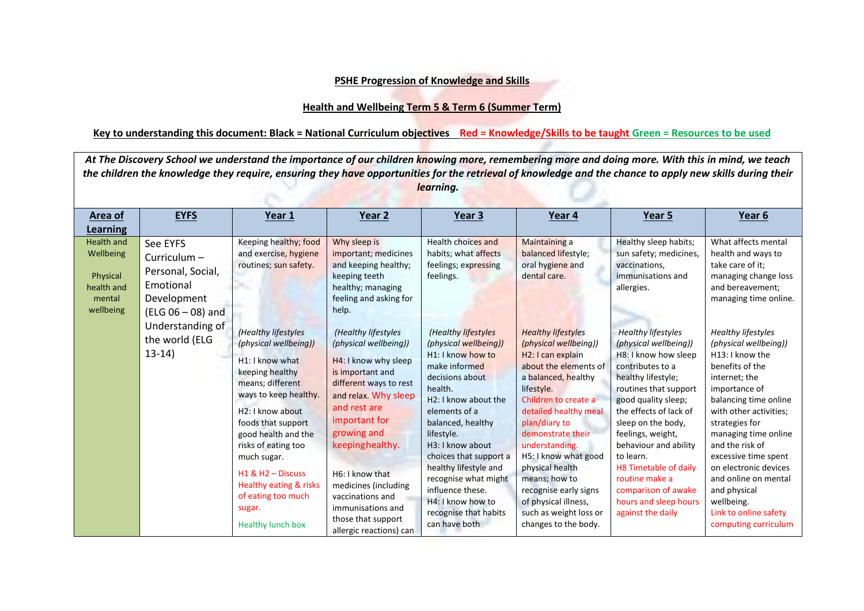## **PSHE Progression of Knowledge and Skills**

## **Health and Wellbeing Term 5 & Term 6 (Summer Term)**

## **Key to understanding this document: Black = National Curriculum objectives Red = Knowledge/Skills to be taught Green = Resources to be used**

| At The Discovery School we understand the importance of our children knowing more, remembering more and doing more. With this in mind, we teach<br>the children the knowledge they require, ensuring they have opportunities for the retrieval of knowledge and the chance to apply new skills during their<br>learning. |                                                                                               |                                                                                                                                                                                                                                                                                                                                                |                                                                                                                                                                                                                                                                                                                                                    |                                                                                                                                                                                                                                                                                                                                                                                             |                                                                                                                                                                                                                                                                                                                                                                                                                            |                                                                                                                                                                                                                                                                                                                                                                                                 |                                                                                                                                                                                                                                                                                                                                                                                                    |  |  |
|--------------------------------------------------------------------------------------------------------------------------------------------------------------------------------------------------------------------------------------------------------------------------------------------------------------------------|-----------------------------------------------------------------------------------------------|------------------------------------------------------------------------------------------------------------------------------------------------------------------------------------------------------------------------------------------------------------------------------------------------------------------------------------------------|----------------------------------------------------------------------------------------------------------------------------------------------------------------------------------------------------------------------------------------------------------------------------------------------------------------------------------------------------|---------------------------------------------------------------------------------------------------------------------------------------------------------------------------------------------------------------------------------------------------------------------------------------------------------------------------------------------------------------------------------------------|----------------------------------------------------------------------------------------------------------------------------------------------------------------------------------------------------------------------------------------------------------------------------------------------------------------------------------------------------------------------------------------------------------------------------|-------------------------------------------------------------------------------------------------------------------------------------------------------------------------------------------------------------------------------------------------------------------------------------------------------------------------------------------------------------------------------------------------|----------------------------------------------------------------------------------------------------------------------------------------------------------------------------------------------------------------------------------------------------------------------------------------------------------------------------------------------------------------------------------------------------|--|--|
| <b>Area of</b><br><b>Learning</b>                                                                                                                                                                                                                                                                                        | <b>EYFS</b>                                                                                   | Year 1                                                                                                                                                                                                                                                                                                                                         | Year 2                                                                                                                                                                                                                                                                                                                                             | Year 3                                                                                                                                                                                                                                                                                                                                                                                      | Year 4                                                                                                                                                                                                                                                                                                                                                                                                                     | Year 5                                                                                                                                                                                                                                                                                                                                                                                          | Year 6                                                                                                                                                                                                                                                                                                                                                                                             |  |  |
| <b>Health and</b><br>Wellbeing<br>Physical<br>health and<br>mental<br>wellbeing                                                                                                                                                                                                                                          | See EYFS<br>Curriculum-<br>Personal, Social,<br>Emotional<br>Development<br>(ELG 06 - 08) and | Keeping healthy; food<br>and exercise, hygiene<br>routines; sun safety.                                                                                                                                                                                                                                                                        | Why sleep is<br>important; medicines<br>and keeping healthy;<br>keeping teeth<br>healthy; managing<br>feeling and asking for<br>help.                                                                                                                                                                                                              | Health choices and<br>habits; what affects<br>feelings; expressing<br>feelings.                                                                                                                                                                                                                                                                                                             | <b>Maintaining a</b><br>balanced lifestyle;<br>oral hygiene and<br>dental care.                                                                                                                                                                                                                                                                                                                                            | Healthy sleep habits;<br>sun safety; medicines,<br>vaccinations,<br>immunisations and<br>allergies.                                                                                                                                                                                                                                                                                             | What affects mental<br>health and ways to<br>take care of it;<br>managing change loss<br>and bereavement;<br>managing time online.                                                                                                                                                                                                                                                                 |  |  |
|                                                                                                                                                                                                                                                                                                                          | Understanding of<br>the world (ELG<br>$13-14)$                                                | (Healthy lifestyles<br>(physical wellbeing))<br>H1: I know what<br>keeping healthy<br>means; different<br>ways to keep healthy.<br>H2: I know about<br>foods that support<br>good health and the<br>risks of eating too<br>much sugar.<br>$H1$ & $H2 -$ Discuss<br>Healthy eating & risks<br>of eating too much<br>sugar.<br>Healthy lunch box | (Healthy lifestyles<br>(physical wellbeing))<br>H4: I know why sleep<br>is important and<br>different ways to rest<br>and relax. Why sleep<br>and rest are<br>important for<br>growing and<br>keepinghealthy.<br>H6: I know that<br>medicines (including<br>vaccinations and<br>immunisations and<br>those that support<br>allergic reactions) can | (Healthy lifestyles<br>(physical wellbeing))<br>H <sub>1</sub> : I know how to<br>make informed<br>decisions about<br>health.<br>H2: I know about the<br>elements of a<br>balanced, healthy<br>lifestyle.<br>H3: I know about<br>choices that support a<br>healthy lifestyle and<br>recognise what might<br>influence these.<br>H4: I know how to<br>recognise that habits<br>can have both | <b>Healthy lifestyles</b><br>(physical wellbeing))<br>H <sub>2</sub> : I can explain<br>about the elements of<br>a balanced, healthy<br>lifestyle.<br>Children to create a<br>detailed healthy meal<br>plan/diary to<br>demonstrate their<br>understanding.<br>H5: I know what good<br>physical health<br>means; how to<br>recognise early signs<br>of physical illness,<br>such as weight loss or<br>changes to the body. | <b>Healthy lifestyles</b><br>(physical wellbeing))<br>H8: I know how sleep<br>contributes to a<br>healthy lifestyle;<br>routines that support<br>good quality sleep;<br>the effects of lack of<br>sleep on the body,<br>feelings, weight,<br>behaviour and ability<br>to learn.<br>H8 Timetable of daily<br>routine make a<br>comparison of awake<br>hours and sleep hours<br>against the daily | <b>Healthy lifestyles</b><br>(physical wellbeing))<br>H13: I know the<br>benefits of the<br>internet; the<br>importance of<br>balancing time online<br>with other activities;<br>strategies for<br>managing time online<br>and the risk of<br>excessive time spent<br>on electronic devices<br>and online on mental<br>and physical<br>wellbeing.<br>Link to online safety<br>computing curriculum |  |  |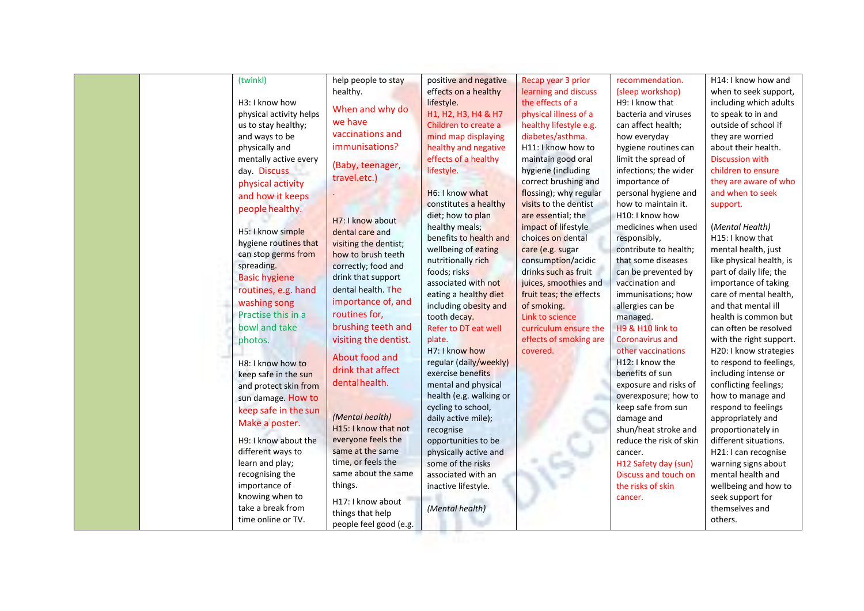| (twinkl)   |                         | help people to stay    | positive and negative   | Recap year 3 prior      | recommendation.         | H14: I know how and      |
|------------|-------------------------|------------------------|-------------------------|-------------------------|-------------------------|--------------------------|
|            |                         | healthy.               | effects on a healthy    | learning and discuss    | (sleep workshop)        | when to seek support,    |
|            | H3: I know how          | When and why do        | lifestyle.              | the effects of a        | H9: I know that         | including which adults   |
|            | physical activity helps |                        | H1, H2, H3, H4 & H7     | physical illness of a   | bacteria and viruses    | to speak to in and       |
|            | us to stay healthy;     | we have                | Children to create a    | healthy lifestyle e.g.  | can affect health;      | outside of school if     |
|            | and ways to be          | vaccinations and       | mind map displaying     | diabetes/asthma.        | how everyday            | they are worried         |
|            | physically and          | immunisations?         | healthy and negative    | H11: I know how to      | hygiene routines can    | about their health.      |
|            | mentally active every   |                        | effects of a healthy    | maintain good oral      | limit the spread of     | <b>Discussion with</b>   |
|            | day. Discuss            | (Baby, teenager,       | lifestyle.              | hygiene (including      | infections; the wider   | children to ensure       |
|            | physical activity       | travel.etc.)           |                         | correct brushing and    | importance of           | they are aware of who    |
|            | and how it keeps        |                        | H6: I know what         | flossing); why regular  | personal hygiene and    | and when to seek         |
|            | people healthy.         |                        | constitutes a healthy   | visits to the dentist   | how to maintain it.     | support.                 |
|            |                         | H7: I know about       | diet; how to plan       | are essential; the      | H10: I know how         |                          |
|            | H5: I know simple       | dental care and        | healthy meals;          | impact of lifestyle     | medicines when used     | (Mental Health)          |
|            | hygiene routines that   | visiting the dentist;  | benefits to health and  | choices on dental       | responsibly,            | H15: I know that         |
|            | can stop germs from     | how to brush teeth     | wellbeing of eating     | care (e.g. sugar        | contribute to health;   | mental health, just      |
| spreading. |                         | correctly; food and    | nutritionally rich      | consumption/acidic      | that some diseases      | like physical health, is |
|            | <b>Basic hygiene</b>    | drink that support     | foods; risks            | drinks such as fruit    | can be prevented by     | part of daily life; the  |
|            |                         |                        | associated with not     | juices, smoothies and   | vaccination and         | importance of taking     |
|            | routines, e.g. hand     | dental health. The     | eating a healthy diet   | fruit teas; the effects | immunisations; how      | care of mental health,   |
|            | washing song            | importance of, and     | including obesity and   | of smoking.             | allergies can be        | and that mental ill      |
|            | Practise this in a      | routines for,          | tooth decay.            | Link to science         | managed.                | health is common but     |
|            | bowl and take           | brushing teeth and     | Refer to DT eat well    | curriculum ensure the   | H9 & H10 link to        | can often be resolved    |
| photos.    |                         | visiting the dentist.  | plate.                  | effects of smoking are  | <b>Coronavirus and</b>  | with the right support.  |
|            |                         |                        | H7: I know how          | covered.                | other vaccinations      | H20: I know strategies   |
|            | H8: I know how to       | About food and         | regular (daily/weekly)  |                         | H12: I know the         | to respond to feelings,  |
|            | keep safe in the sun    | drink that affect      | exercise benefits       |                         | benefits of sun         | including intense or     |
|            | and protect skin from   | dentalhealth.          | mental and physical     |                         | exposure and risks of   | conflicting feelings;    |
|            | sun damage. How to      |                        | health (e.g. walking or |                         | overexposure; how to    | how to manage and        |
|            | keep safe in the sun    |                        | cycling to school,      |                         | keep safe from sun      | respond to feelings      |
|            | Make a poster.          | (Mental health)        | daily active mile);     |                         | damage and              | appropriately and        |
|            |                         | H15: I know that not   | recognise               |                         | shun/heat stroke and    | proportionately in       |
|            | H9: I know about the    | everyone feels the     | opportunities to be     |                         | reduce the risk of skin | different situations.    |
|            | different ways to       | same at the same       | physically active and   |                         | cancer.                 | H21: I can recognise     |
|            | learn and play;         | time, or feels the     | some of the risks       |                         | H12 Safety day (sun)    | warning signs about      |
|            | recognising the         | same about the same    | associated with an      |                         | Discuss and touch on    | mental health and        |
|            | importance of           | things.                | inactive lifestyle.     |                         | the risks of skin       | wellbeing and how to     |
|            | knowing when to         | H17: I know about      |                         |                         | cancer.                 | seek support for         |
|            | take a break from       | things that help       | (Mental health)         |                         |                         | themselves and           |
|            | time online or TV.      |                        |                         |                         |                         | others.                  |
|            |                         | people feel good (e.g. |                         |                         |                         |                          |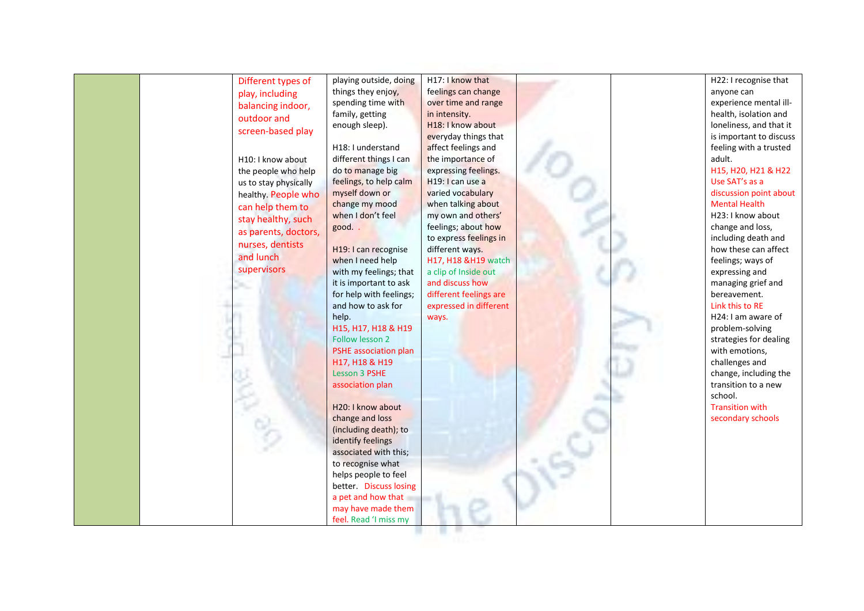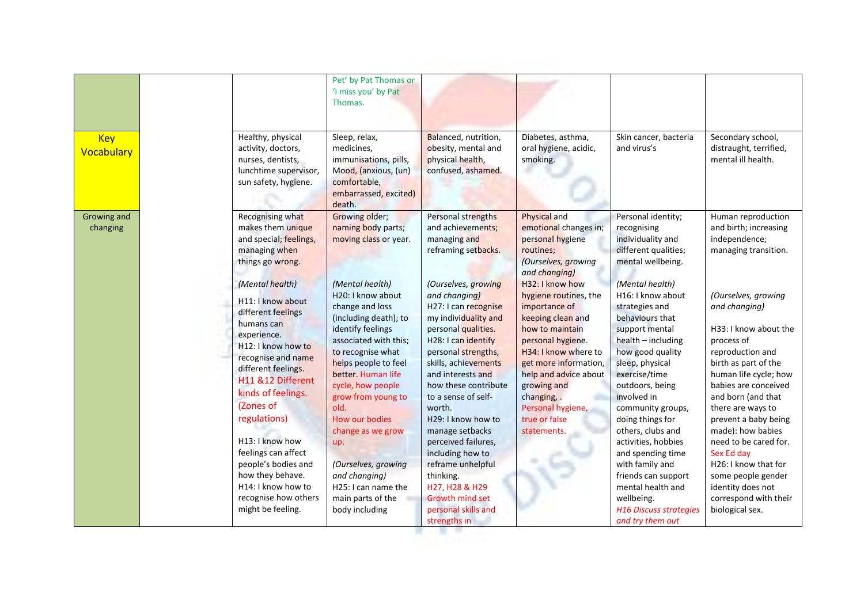| <b>Key</b><br>Vocabulary | Healthy, physical<br>activity, doctors,<br>nurses, dentists,<br>lunchtime supervisor,<br>sun safety, hygiene.                                                                                                                                                                                                                                                                                                                                                                                                                | Pet' by Pat Thomas or<br>'I miss you' by Pat<br>Thomas.<br>Sleep, relax,<br>medicines,<br>immunisations, pills,<br>Mood, (anxious, (un)<br>comfortable,<br>embarrassed, excited)                                                                                                                                                                                                                                                                                                    | Balanced, nutrition,<br>obesity, mental and<br>physical health,<br>confused, ashamed.                                                                                                                                                                                                                                                                                                                                                                                                                                                                      | Diabetes, asthma,<br>oral hygiene, acidic,<br>smoking.                                                                                                                                                                                                                                                                                                                                                | Skin cancer, bacteria<br>and virus's                                                                                                                                                                                                                                                                                                                                                                                                                                                                                                                           | Secondary school,<br>distraught, terrified,<br>mental ill health.                                                                                                                                                                                                                                                                                                                                                                                                                                              |
|--------------------------|------------------------------------------------------------------------------------------------------------------------------------------------------------------------------------------------------------------------------------------------------------------------------------------------------------------------------------------------------------------------------------------------------------------------------------------------------------------------------------------------------------------------------|-------------------------------------------------------------------------------------------------------------------------------------------------------------------------------------------------------------------------------------------------------------------------------------------------------------------------------------------------------------------------------------------------------------------------------------------------------------------------------------|------------------------------------------------------------------------------------------------------------------------------------------------------------------------------------------------------------------------------------------------------------------------------------------------------------------------------------------------------------------------------------------------------------------------------------------------------------------------------------------------------------------------------------------------------------|-------------------------------------------------------------------------------------------------------------------------------------------------------------------------------------------------------------------------------------------------------------------------------------------------------------------------------------------------------------------------------------------------------|----------------------------------------------------------------------------------------------------------------------------------------------------------------------------------------------------------------------------------------------------------------------------------------------------------------------------------------------------------------------------------------------------------------------------------------------------------------------------------------------------------------------------------------------------------------|----------------------------------------------------------------------------------------------------------------------------------------------------------------------------------------------------------------------------------------------------------------------------------------------------------------------------------------------------------------------------------------------------------------------------------------------------------------------------------------------------------------|
| Growing and<br>changing  | Recognising what<br>makes them unique<br>and special; feelings,<br>managing when<br>things go wrong.<br>(Mental health)<br>H11: I know about<br>different feelings<br>humans can<br>experience.<br>H <sub>12</sub> : I know how to<br>recognise and name<br>different feelings.<br>H11 &12 Different<br>kinds of feelings.<br>(Zones of<br>regulations)<br>H13: I know how<br>feelings can affect<br>people's bodies and<br>how they behave.<br>H <sub>14</sub> : I know how to<br>recognise how others<br>might be feeling. | death.<br>Growing older;<br>naming body parts;<br>moving class or year.<br>(Mental health)<br>H20: I know about<br>change and loss<br>(including death); to<br>identify feelings<br>associated with this;<br>to recognise what<br>helps people to feel<br>better. Human life<br>cycle, how people<br>grow from young to<br>old.<br>How our bodies<br>change as we grow<br>up.<br>(Ourselves, growing<br>and changing)<br>H25: I can name the<br>main parts of the<br>body including | Personal strengths<br>and achievements;<br>managing and<br>reframing setbacks.<br>(Ourselves, growing<br>and changing)<br>H27: I can recognise<br>my individuality and<br>personal qualities.<br>H28: I can identify<br>personal strengths,<br>skills, achievements<br>and interests and<br>how these contribute<br>to a sense of self-<br>worth.<br>H29: I know how to<br>manage setbacks<br>perceived failures,<br>including how to<br>reframe unhelpful<br>thinking.<br>H27, H28 & H29<br><b>Growth mind set</b><br>personal skills and<br>strengths in | Physical and<br>emotional changes in;<br>personal hygiene<br>routines;<br>(Ourselves, growing<br>and changing)<br>H32: I know how<br>hygiene routines, the<br>importance of<br>keeping clean and<br>how to maintain<br>personal hygiene.<br>H34: I know where to<br>get more information,<br>help and advice about<br>growing and<br>changing, .<br>Personal hygiene,<br>true or false<br>statements. | Personal identity;<br>recognising<br>individuality and<br>different qualities;<br>mental wellbeing.<br>(Mental health)<br>H16: I know about<br>strategies and<br>behaviours that<br>support mental<br>health - including<br>how good quality<br>sleep, physical<br>exercise/time<br>outdoors, being<br>involved in<br>community groups,<br>doing things for<br>others, clubs and<br>activities, hobbies<br>and spending time<br>with family and<br>friends can support<br>mental health and<br>wellbeing.<br><b>H16 Discuss strategies</b><br>and try them out | Human reproduction<br>and birth; increasing<br>independence;<br>managing transition.<br>(Ourselves, growing<br>and changing)<br>H33: I know about the<br>process of<br>reproduction and<br>birth as part of the<br>human life cycle; how<br>babies are conceived<br>and born (and that<br>there are ways to<br>prevent a baby being<br>made): how babies<br>need to be cared for.<br>Sex Ed day<br>H26: I know that for<br>some people gender<br>identity does not<br>correspond with their<br>biological sex. |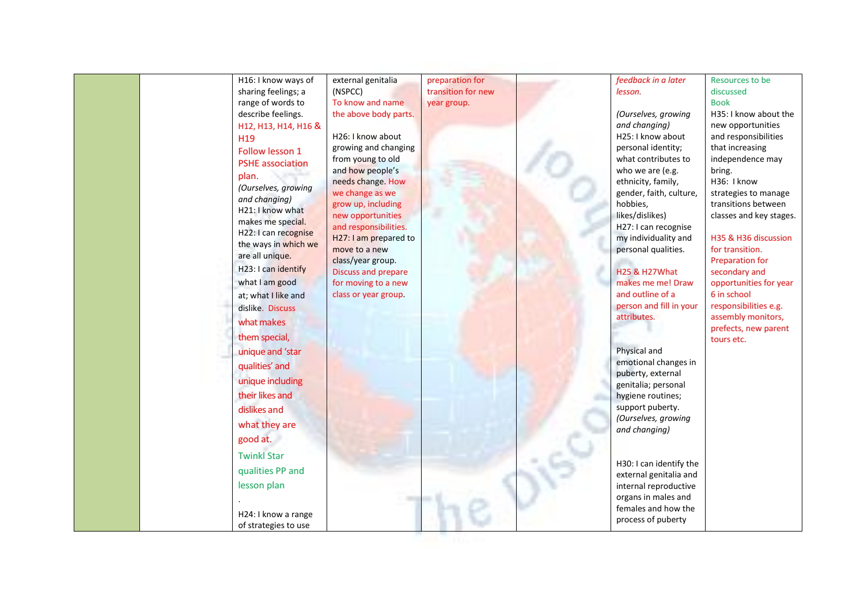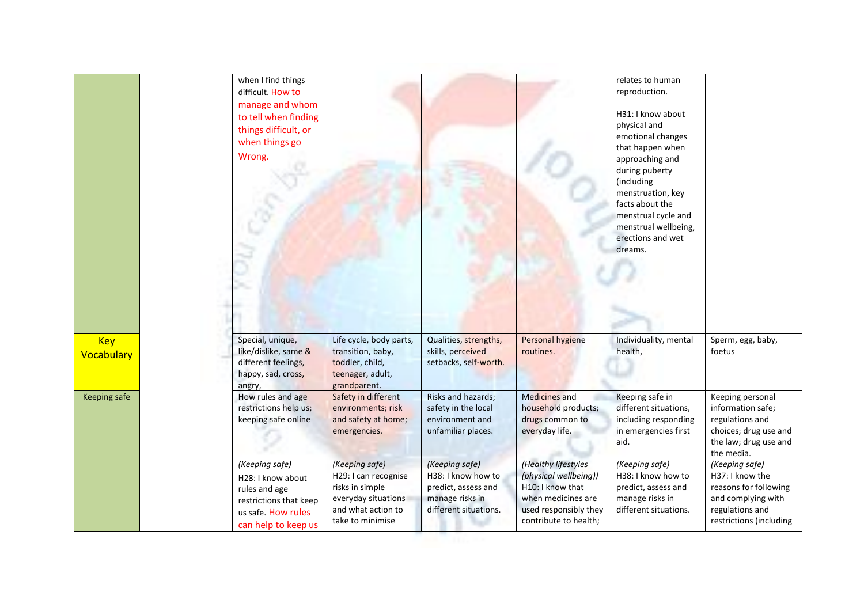|                          | when I find things<br>difficult. How to<br>manage and whom<br>to tell when finding<br>things difficult, or<br>when things go<br>Wrong. |                                                                                                                            |                                                                                                         |                                                                                                                                          | relates to human<br>reproduction.<br>H31: I know about<br>physical and<br>emotional changes<br>that happen when<br>approaching and<br>during puberty<br>(including<br>menstruation, key<br>facts about the<br>menstrual cycle and<br>menstrual wellbeing,<br>erections and wet<br>dreams. |                                                                                                                                |
|--------------------------|----------------------------------------------------------------------------------------------------------------------------------------|----------------------------------------------------------------------------------------------------------------------------|---------------------------------------------------------------------------------------------------------|------------------------------------------------------------------------------------------------------------------------------------------|-------------------------------------------------------------------------------------------------------------------------------------------------------------------------------------------------------------------------------------------------------------------------------------------|--------------------------------------------------------------------------------------------------------------------------------|
| <b>Key</b><br>Vocabulary | Special, unique,<br>like/dislike, same &<br>different feelings,<br>happy, sad, cross,<br>angry,                                        | Life cycle, body parts,<br>transition, baby,<br>toddler, child,<br>teenager, adult,<br>grandparent.                        | Qualities, strengths,<br>skills, perceived<br>setbacks, self-worth.                                     | Personal hygiene<br>routines.                                                                                                            | Individuality, mental<br>health,                                                                                                                                                                                                                                                          | Sperm, egg, baby,<br>foetus                                                                                                    |
| Keeping safe             | How rules and age<br>restrictions help us;<br>keeping safe online                                                                      | Safety in different<br>environments; risk<br>and safety at home;<br>emergencies.                                           | Risks and hazards;<br>safety in the local<br>environment and<br>unfamiliar places.                      | <b>Medicines and</b><br>household products;<br>drugs common to<br>everyday life.                                                         | Keeping safe in<br>different situations,<br>including responding<br>in emergencies first<br>aid.                                                                                                                                                                                          | Keeping personal<br>information safe;<br>regulations and<br>choices; drug use and<br>the law; drug use and<br>the media.       |
|                          | (Keeping safe)<br>H28: I know about<br>rules and age<br>restrictions that keep<br>us safe. How rules<br>can help to keep us            | (Keeping safe)<br>H29: I can recognise<br>risks in simple<br>everyday situations<br>and what action to<br>take to minimise | (Keeping safe)<br>H38: I know how to<br>predict, assess and<br>manage risks in<br>different situations. | (Healthy lifestyles<br>(physical wellbeing))<br>H10: I know that<br>when medicines are<br>used responsibly they<br>contribute to health; | (Keeping safe)<br>H38: I know how to<br>predict, assess and<br>manage risks in<br>different situations.                                                                                                                                                                                   | (Keeping safe)<br>H37: I know the<br>reasons for following<br>and complying with<br>regulations and<br>restrictions (including |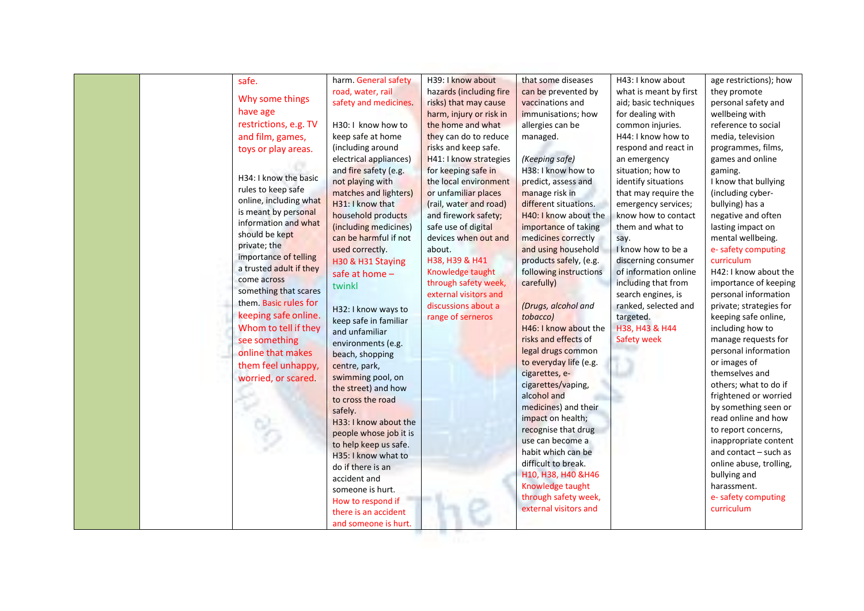| safe.                   | harm. General safety   | H39: I know about       | that some diseases     | H43: I know about      | age restrictions); how  |
|-------------------------|------------------------|-------------------------|------------------------|------------------------|-------------------------|
| Why some things         | road, water, rail      | hazards (including fire | can be prevented by    | what is meant by first | they promote            |
|                         | safety and medicines.  | risks) that may cause   | vaccinations and       | aid; basic techniques  | personal safety and     |
| have age                |                        | harm, injury or risk in | immunisations; how     | for dealing with       | wellbeing with          |
| restrictions, e.g. TV   | H30: I know how to     | the home and what       | allergies can be       | common injuries.       | reference to social     |
| and film, games,        | keep safe at home      | they can do to reduce   | managed.               | H44: I know how to     | media, television       |
| toys or play areas.     | (including around      | risks and keep safe.    |                        | respond and react in   | programmes, films,      |
|                         | electrical appliances) | H41: I know strategies  | (Keeping safe)         | an emergency           | games and online        |
|                         | and fire safety (e.g.  | for keeping safe in     | H38: I know how to     | situation; how to      | gaming.                 |
| H34: I know the basic   | not playing with       | the local environment   | predict, assess and    | identify situations    | I know that bullying    |
| rules to keep safe      | matches and lighters)  | or unfamiliar places    | manage risk in         | that may require the   | (including cyber-       |
| online, including what  | H31: I know that       | (rail, water and road)  | different situations.  | emergency services;    | bullying) has a         |
| is meant by personal    | household products     | and firework safety;    | H40: I know about the  | know how to contact    | negative and often      |
| information and what    | (including medicines)  | safe use of digital     | importance of taking   | them and what to       | lasting impact on       |
| should be kept          | can be harmful if not  | devices when out and    | medicines correctly    | say.                   | mental wellbeing.       |
| private; the            | used correctly.        | about.                  | and using household    | I know how to be a     | e- safety computing     |
| importance of telling   | H30 & H31 Staying      | H38, H39 & H41          | products safely, (e.g. | discerning consumer    | curriculum              |
| a trusted adult if they | safe at home -         | Knowledge taught        | following instructions | of information online  | H42: I know about the   |
| come across             | twinkl                 | through safety week,    | carefully)             | including that from    | importance of keeping   |
| something that scares   |                        | external visitors and   |                        | search engines, is     | personal information    |
| them. Basic rules for   | H32: I know ways to    | discussions about a     | (Drugs, alcohol and    | ranked, selected and   | private; strategies for |
| keeping safe online.    | keep safe in familiar  | range of serneros       | tobacco)               | targeted.              | keeping safe online,    |
| Whom to tell if they    | and unfamiliar         |                         | H46: I know about the  | H38, H43 & H44         | including how to        |
| see something           | environments (e.g.     |                         | risks and effects of   | <b>Safety week</b>     | manage requests for     |
| online that makes       | beach, shopping        |                         | legal drugs common     |                        | personal information    |
| them feel unhappy,      | centre, park,          |                         | to everyday life (e.g. |                        | or images of            |
| worried, or scared.     | swimming pool, on      |                         | cigarettes, e-         |                        | themselves and          |
|                         | the street) and how    |                         | cigarettes/vaping,     |                        | others; what to do if   |
|                         | to cross the road      |                         | alcohol and            |                        | frightened or worried   |
|                         | safely.                |                         | medicines) and their   |                        | by something seen or    |
|                         | H33: I know about the  |                         | impact on health;      |                        | read online and how     |
|                         | people whose job it is |                         | recognise that drug    |                        | to report concerns,     |
|                         | to help keep us safe.  |                         | use can become a       |                        | inappropriate content   |
|                         | H35: I know what to    |                         | habit which can be     |                        | and contact $-$ such as |
|                         | do if there is an      |                         | difficult to break.    |                        | online abuse, trolling, |
|                         | accident and           |                         | H10, H38, H40 & H46    |                        | bullying and            |
|                         | someone is hurt.       |                         | Knowledge taught       |                        | harassment.             |
|                         | How to respond if      |                         | through safety week,   |                        | e- safety computing     |
|                         | there is an accident   |                         | external visitors and  |                        | curriculum              |
|                         |                        |                         |                        |                        |                         |
|                         | and someone is hurt.   |                         |                        |                        |                         |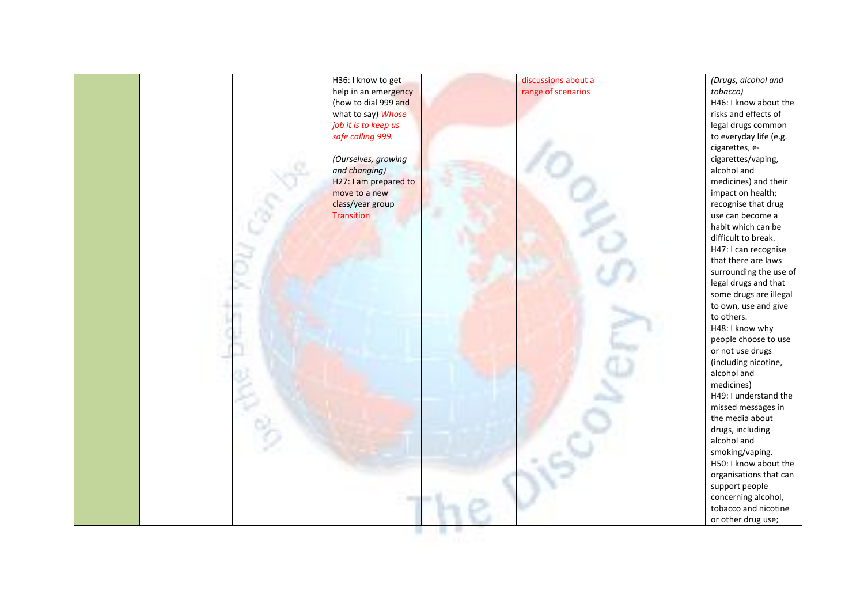